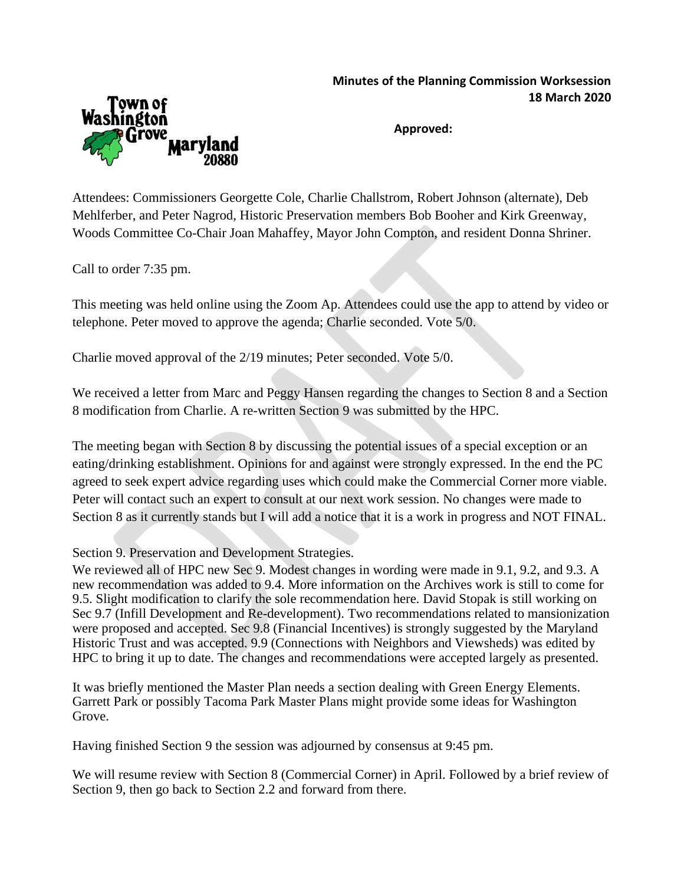## **Minutes of the Planning Commission Worksession 18 March 2020**



**Approved:**

Attendees: Commissioners Georgette Cole, Charlie Challstrom, Robert Johnson (alternate), Deb Mehlferber, and Peter Nagrod, Historic Preservation members Bob Booher and Kirk Greenway, Woods Committee Co-Chair Joan Mahaffey, Mayor John Compton, and resident Donna Shriner.

Call to order 7:35 pm.

This meeting was held online using the Zoom Ap. Attendees could use the app to attend by video or telephone. Peter moved to approve the agenda; Charlie seconded. Vote 5/0.

Charlie moved approval of the 2/19 minutes; Peter seconded. Vote 5/0.

We received a letter from Marc and Peggy Hansen regarding the changes to Section 8 and a Section 8 modification from Charlie. A re-written Section 9 was submitted by the HPC.

The meeting began with Section 8 by discussing the potential issues of a special exception or an eating/drinking establishment. Opinions for and against were strongly expressed. In the end the PC agreed to seek expert advice regarding uses which could make the Commercial Corner more viable. Peter will contact such an expert to consult at our next work session. No changes were made to Section 8 as it currently stands but I will add a notice that it is a work in progress and NOT FINAL.

Section 9. Preservation and Development Strategies.

We reviewed all of HPC new Sec 9. Modest changes in wording were made in 9.1, 9.2, and 9.3. A new recommendation was added to 9.4. More information on the Archives work is still to come for 9.5. Slight modification to clarify the sole recommendation here. David Stopak is still working on Sec 9.7 (Infill Development and Re-development). Two recommendations related to mansionization were proposed and accepted. Sec 9.8 (Financial Incentives) is strongly suggested by the Maryland Historic Trust and was accepted. 9.9 (Connections with Neighbors and Viewsheds) was edited by HPC to bring it up to date. The changes and recommendations were accepted largely as presented.

It was briefly mentioned the Master Plan needs a section dealing with Green Energy Elements. Garrett Park or possibly Tacoma Park Master Plans might provide some ideas for Washington Grove.

Having finished Section 9 the session was adjourned by consensus at 9:45 pm.

We will resume review with Section 8 (Commercial Corner) in April. Followed by a brief review of Section 9, then go back to Section 2.2 and forward from there.